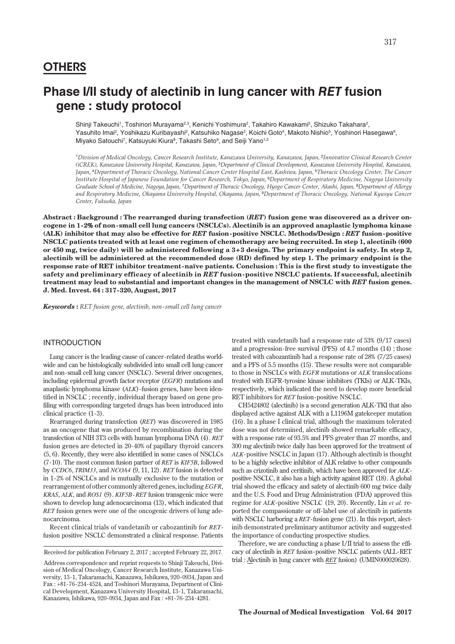## **OTHERS**

Shinji Takeuchi<sup>1</sup>, Toshinori Murayama<sup>2,3</sup>, Kenichi Yoshimura<sup>2</sup>, Takahiro Kawakami<sup>2</sup>, Shizuko Takahara<sup>2</sup>, Yasuhito Imai², Yoshikazu Kuribayashi<sup>2</sup>, Katsuhiko Nagase<sup>2</sup>, Koichi Goto<sup>4</sup>, Makoto Nishio<sup>5</sup>, Yoshinori Hasegawa<sup>6</sup>, Miyako Satouchi<sup>7</sup>, Katsuyuki Kiura<sup>8</sup>, Takashi Seto<sup>9</sup>, and Seiji Yano<sup>1,2</sup>

1 Division of Medical Oncology, Cancer Research Institute, Kanazawa University, Kanazawa, Japan, <sup>2</sup>Innovative Clinical Research Center (iCREK), Kanazawa University Hospital, Kanazawa, Japan, <sup>3</sup>Department of Clinical Development, Kanazawa University Hospital, Kanazawa, Japan, <sup>4</sup>Department of Thoracic Oncology, National Cancer Center Hospital East, Kashiwa, Japan, <sup>5</sup>Thoracic Oncology Center, The Cancer Institute Hospital of Japanese Foundation for Cancer Research, Tokyo, Japan, <sup>6</sup>Department of Respiratory Medicine, Nagoya University Graduate School of Medicine, Nagoya, Japan, <sup>7</sup>Department of Thoracic Oncology, Hyogo Cancer Center, Akashi, Japan, <sup>8</sup>Department of Allergy and Respiratory Medicine, Okayama University Hospital, Okayama, Japan, <sup>9</sup>Department of Thoracic Oncology, National Kyusyu Cancer Center, Fukuoka, Japan

Abstract : Background : The rearranged during transfection (RET) fusion gene was discovered as a driver oncogene in 1 -2% of non -small cell lung cancers (NSCLCs). Alectinib is an approved anaplastic lymphoma kinase (ALK) inhibitor that may also be effective for RET fusion -positive NSCLC. Methods/Design : RET fusion -positive NSCLC patients treated with at least one regimen of chemotherapy are being recruited. In step 1, alectinib (600 or 450 mg, twice daily) will be administered following a 3+3 design. The primary endpoint is safety. In step 2, alectinib will be administered at the recommended dose (RD) defined by step 1. The primary endpoint is the response rate of RET inhibitor treatment -naïve patients. Conclusion : This is the first study to investigate the safety and preliminary efficacy of alectinib in RET fusion -positive NSCLC patients. If successful, alectinib treatment may lead to substantial and important changes in the management of NSCLC with RET fusion genes. J. Med. Invest. 64 : 317 -320, August, 2017

Keywords : RET fusion gene, alectinib, non -small cell lung cancer

## INTRODUCTION

Lung cancer is the leading cause of cancer-related deaths worldwide and can be histologically subdivided into small cell lung cancer and non-small cell lung cancer (NSCLC). Several driver oncogenes, including epidermal growth factor receptor (EGFR) mutations and anaplastic lymphoma kinase (ALK)-fusion genes, have been identified in NSCLC ; recently, individual therapy based on gene profiling with corresponding targeted drugs has been introduced into clinical practice (1-3).

Rearranged during transfection (RET) was discovered in 1985 as an oncogene that was produced by recombination during the transfection of NIH 3T3 cells with human lymphoma DNA (4). RET fusion genes are detected in 20-40% of papillary thyroid cancers (5, 6). Recently, they were also identified in some cases of NSCLCs (7-10). The most common fusion partner of RET is KIF5B, followed by CCDC6, TRIM33, and NCOA4 (9, 11, 12). RET fusion is detected in 1-2% of NSCLCs and is mutually exclusive to the mutation or rearrangement of other commonly altered genes, including EGFR, KRAS, ALK, and ROS1 (9). KIF5B -RET fusion transgenic mice were shown to develop lung adenocarcinoma (13), which indicated that RET fusion genes were one of the oncogenic drivers of lung adenocarcinoma.

Recent clinical trials of vandetanib or cabozantinib for RETfusion positive NSCLC demonstrated a clinical response. Patients

Received for publication February 2, 2017 ; accepted February 22, 2017.

treated with vandetanib had a response rate of 53% (9/17 cases) and a progression-free survival (PFS) of 4.7 months (14) ; those treated with cabozantinib had a response rate of 28% (7/25 cases) and a PFS of 5.5 months (15). These results were not comparable to those in NSCLCs with EGFR mutations or ALK translocations treated with EGFR- tyrosine kinase inhibitors (TKIs) or ALK-TKIs, respectively, which indicated the need to develop more beneficial

RET inhibitors for RET fusion-positive NSCLC. CH5424802 (alectinib) is a second generation ALK-TKI that also displayed active against ALK with a L1196M gatekeeper mutation (16). In a phase I clinical trial, although the maximum tolerated dose was not determined, alectinib showed remarkable efficacy, with a response rate of 93.5% and PFS greater than 27 months, and 300 mg alectinib twice daily has been approved for the treatment of ALK-positive NSCLC in Japan (17). Although alectinib is thought to be a highly selective inhibitor of ALK relative to other compounds such as crizotinib and ceritinib, which have been approved for ALKpositive NSCLC, it also has a high activity against RET (18). A global trial showed the efficacy and safety of alectinib 600 mg twice daily and the U.S. Food and Drug Administration (FDA) approved this regime for ALK-positive NSCLC (19, 20). Recently, Lin et al. reported the compassionate or off-label use of alectinib in patients with NSCLC harboring a RET-fusion gene (21). In this report, alectinib demonstrated preliminary antitumor activity and suggested the importance of conducting prospective studies.

Therefore, we are conducting a phase I/II trial to assess the efficacy of alectinib in RET fusion-positive NSCLC patients (ALL-RET trial : Alectinib in lung cancer with RET fusion) (UMIN000020628).

Address correspondence and reprint requests to Shinji Takeuchi, Division of Medical Oncology, Cancer Research Institute, Kanazawa University, 13- 1, Takaramachi, Kanazawa, Ishikawa, 920- 0934, Japan and Fax : +81- 76- 234- 4524, and Toshinori Murayama, Department of Clinical Development, Kanazawa University Hospital, 13- 1, Takaramachi, Kanazawa, Ishikawa, 920- 0934, Japan and Fax : +81- 76- 234- 4281.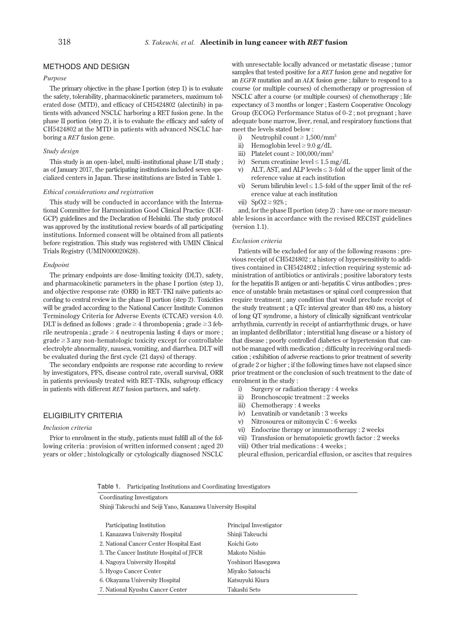### METHODS AND DESIGN

#### Purpose

The primary objective in the phase I portion (step 1) is to evaluate the safety, tolerability, pharmacokinetic parameters, maximum tolerated dose (MTD), and efficacy of CH5424802 (alectinib) in patients with advanced NSCLC harboring a RET fusion gene. In the phase II portion (step 2), it is to evaluate the efficacy and safety of CH5424802 at the MTD in patients with advanced NSCLC harboring a RET fusion gene.

#### Study design

This study is an open-label, multi-institutional phase I/II study ; as of January 2017, the participating institutions included seven specialized centers in Japan. These institutions are listed in Table 1.

#### Ethical considerations and registration

This study will be conducted in accordance with the International Committee for Harmonization Good Clinical Practice (ICH-GCP) guidelines and the Declaration of Helsinki. The study protocol was approved by the institutional review boards of all participating institutions. Informed consent will be obtained from all patients before registration. This study was registered with UMIN Clinical Trials Registry (UMIN000020628).

#### Endpoint

The primary endpoints are dose-limiting toxicity (DLT), safety, and pharmacokinetic parameters in the phase I portion (step 1), and objective response rate (ORR) in RET-TKI naïve patients according to central review in the phase II portion (step 2). Toxicities will be graded according to the National Cancer Institute Common Terminology Criteria for Adverse Events (CTCAE) version 4.0. DLT is defined as follows : grade  $\geq 4$  thrombopenia; grade  $\geq 3$  feb $right$ rile neutropenia ; grade  $\geq 4$  neutropenia lasting 4 days or more ;  $grade \geq 3$  any non-hematologic toxicity except for controllable electrolyte abnormality, nausea, vomiting, and diarrhea. DLT will be evaluated during the first cycle (21 days) of therapy.

The secondary endpoints are response rate according to review by investigators, PFS, disease control rate, overall survival, ORR in patients previously treated with RET-TKIs, subgroup efficacy in patients with different RET fusion partners, and safety.

#### ELIGIBILITY CRITERIA

#### Inclusion criteria

Prior to enrolment in the study, patients must fulfill all of the following criteria : provision of written informed consent ; aged 20 years or older ; histologically or cytologically diagnosed NSCLC

Coordinating Investigators

with unresectable locally advanced or metastatic disease ; tumor samples that tested positive for a RET fusion gene and negative for an EGFR mutation and an ALK fusion gene ; failure to respond to a course (or multiple courses) of chemotherapy or progression of NSCLC after a course (or multiple courses) of chemotherapy ; life expectancy of 3 months or longer ; Eastern Cooperative Oncology Group (ECOG) Performance Status of 0-2 ; not pregnant ; have adequate bone marrow, liver, renal, and respiratory functions that meet the levels stated below :

- i) Neutrophil count  $\geq 1,500/mm^3$
- ii) Hemoglobin level  $\geq 9.0$  g/dL
- iii) Platelet count  $\geq 100,000/\text{mm}^3$
- iv) Serum creatinine level  $\leq 1.5$  mg/dL
- v) ALT, AST, and ALP levels  $\leq$  3-fold of the upper limit of the reference value at each institution
- vi) Serum bilirubin level  $\leq 1.5$ -fold of the upper limit of the reference value at each institution
- vii)  $SpO2 \geq 92\%$ ;

and, for the phase II portion (step 2) : have one or more measurable lesions in accordance with the revised RECIST guidelines (version 1.1).

#### Exclusion criteria

Patients will be excluded for any of the following reasons : previous receipt of CH5424802 ; a history of hypersensitivity to additives contained in CH5424802 ; infection requiring systemic administration of antibiotics or antivirals ; positive laboratory tests for the hepatitis B antigen or anti-hepatitis C virus antibodies ; presence of unstable brain metastases or spinal cord compression that require treatment ; any condition that would preclude receipt of the study treatment ; a QTc interval greater than 480 ms, a history of long QT syndrome, a history of clinically significant ventricular arrhythmia, currently in receipt of antiarrhythmic drugs, or have an implanted defibrillator ; interstitial lung disease or a history of that disease ; poorly controlled diabetes or hypertension that cannot be managed with medication ; difficulty in receiving oral medication ; exhibition of adverse reactions to prior treatment of severity of grade 2 or higher ; if the following times have not elapsed since prior treatment or the conclusion of such treatment to the date of enrolment in the study :

- i) Surgery or radiation therapy : 4 weeks
- ii) Bronchoscopic treatment : 2 weeks
- iii) Chemotherapy : 4 weeks
- iv) Lenvatinib or vandetanib : 3 weeks
- v) Nitrosourea or mitomycin C : 6 weeks
- vi) Endocrine therapy or immunotherapy : 2 weeks
- vii) Transfusion or hematopoietic growth factor : 2 weeks

viii) Other trial medications : 4 weeks ;

pleural effusion, pericardial effusion, or ascites that requires

|  | Table 1. |  |  | Participating Institutions and Coordinating Investigators |  |  |
|--|----------|--|--|-----------------------------------------------------------|--|--|
|--|----------|--|--|-----------------------------------------------------------|--|--|

| Shinji Takeuchi and Seiji Yano, Kanazawa University Hospital |                        |  |  |  |  |  |  |
|--------------------------------------------------------------|------------------------|--|--|--|--|--|--|
|                                                              |                        |  |  |  |  |  |  |
| Participating Institution                                    | Principal Investigator |  |  |  |  |  |  |
| 1. Kanazawa University Hospital                              | Shinji Takeuchi        |  |  |  |  |  |  |
| 2. National Cancer Center Hospital East                      | Koichi Goto            |  |  |  |  |  |  |
| 3. The Cancer Institute Hospital of JFCR                     | Makoto Nishio          |  |  |  |  |  |  |
| 4. Nagova University Hospital                                | Yoshinori Hasegawa     |  |  |  |  |  |  |
| 5. Hyogo Cancer Center                                       | Miyako Satouchi        |  |  |  |  |  |  |
| 6. Okayama University Hospital                               | Katsuvuki Kiura        |  |  |  |  |  |  |
| 7. National Kyushu Cancer Center                             | Takashi Seto           |  |  |  |  |  |  |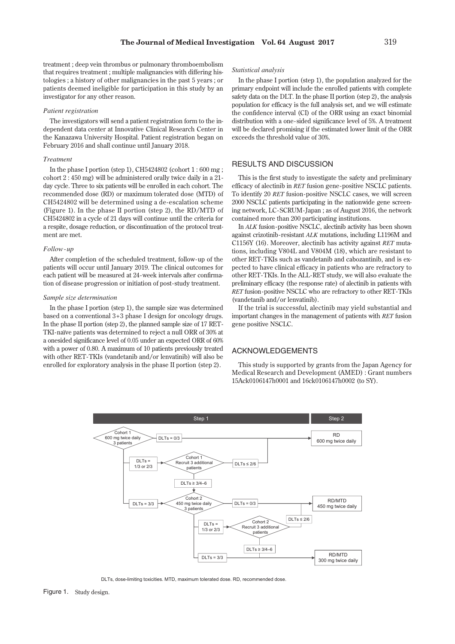treatment ; deep vein thrombus or pulmonary thromboembolism that requires treatment ; multiple malignancies with differing histologies ; a history of other malignancies in the past 5 years ; or patients deemed ineligible for participation in this study by an investigator for any other reason.

#### Patient registration

The investigators will send a patient registration form to the independent data center at Innovative Clinical Research Center in the Kanazawa University Hospital. Patient registration began on February 2016 and shall continue until January 2018.

#### Treatment

In the phase I portion (step 1), CH5424802 (cohort  $1:600 \text{ mg}$ ; cohort 2 : 450 mg) will be administered orally twice daily in a 21 day cycle. Three to six patients will be enrolled in each cohort. The recommended dose (RD) or maximum tolerated dose (MTD) of CH5424802 will be determined using a de-escalation scheme (Figure 1). In the phase II portion (step 2), the RD/MTD of CH5424802 in a cycle of 21 days will continue until the criteria for a respite, dosage reduction, or discontinuation of the protocol treatment are met.

#### Follow -up

After completion of the scheduled treatment, follow-up of the patients will occur until January 2019. The clinical outcomes for each patient will be measured at 24-week intervals after confirmation of disease progression or initiation of post-study treatment.

#### Sample size determination

In the phase I portion (step 1), the sample size was determined based on a conventional 3+3 phase I design for oncology drugs. In the phase II portion (step 2), the planned sample size of 17 RET-TKI-naïve patients was determined to reject a null ORR of 30% at a onesided significance level of 0.05 under an expected ORR of 60% with a power of 0.80. A maximum of 10 patients previously treated with other RET-TKIs (vandetanib and/or lenvatinib) will also be enrolled for exploratory analysis in the phase II portion (step 2).

#### Statistical analysis

In the phase I portion (step 1), the population analyzed for the primary endpoint will include the enrolled patients with complete safety data on the DLT. In the phase II portion (step 2), the analysis population for efficacy is the full analysis set, and we will estimate the confidence interval (CI) of the ORR using an exact binomial distribution with a one-sided significance level of 5%. A treatment will be declared promising if the estimated lower limit of the ORR exceeds the threshold value of 30%.

# RESULTS AND DISCUSSION

This is the first study to investigate the safety and preliminary efficacy of alectinib in RET fusion gene-positive NSCLC patients. To identify 20 RET fusion-positive NSCLC cases, we will screen 2000 NSCLC patients participating in the nationwide gene screening network, LC-SCRUM-Japan ; as of August 2016, the network contained more than 200 participating institutions.

In ALK fusion-positive NSCLC, alectinib activity has been shown against crizotinib-resistant ALK mutations, including L1196M and C1156Y (16). Moreover, alectinib has activity against RET mutations, including V804L and V804M (18), which are resistant to other RET-TKIs such as vandetanib and cabozantinib, and is expected to have clinical efficacy in patients who are refractory to other RET-TKIs. In the ALL-RET study, we will also evaluate the preliminary efficacy (the response rate) of alectinib in patients with RET fusion-positive NSCLC who are refractory to other RET-TKIs (vandetanib and/or lenvatinib).

If the trial is successful, alectinib may yield substantial and important changes in the management of patients with RET fusion gene positive NSCLC.

#### **ACKNOWLEDGEMENTS** ACKNOWLEDGEMENTS

This study is supported by grants from the Japan Agency for Medical Research and Development (AMED) : Grant numbers 15Ack0106147h0001 and 16ck0106147h0002 (to SY).



DLTs, dose-limiting toxicities. MTD, maximum tolerated dose. RD, recommended dose.